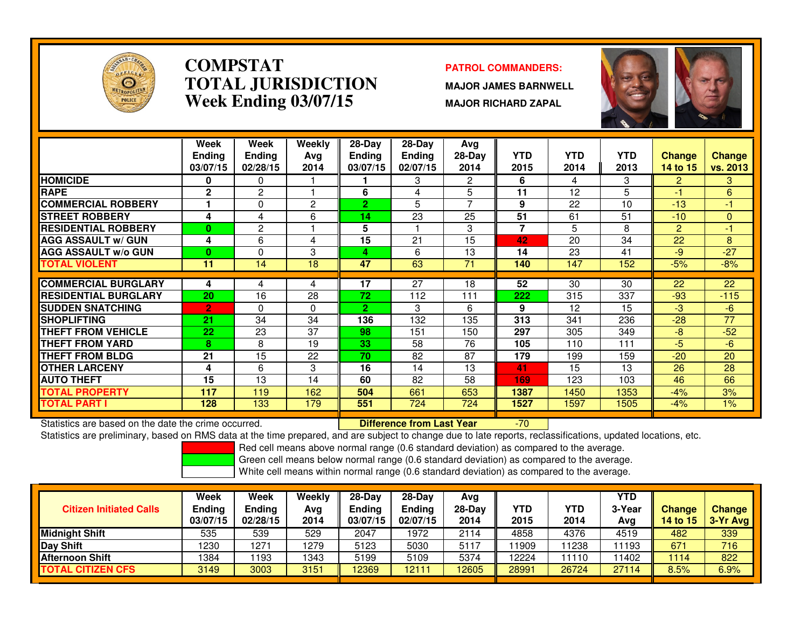

### **COMPSTATPATROL COMMANDERS:**<br> **PATROL COMMANDERS TOTAL JURISDICTIONWeek Ending 03/07/15**

 **MAJOR JAMES BARNWELL MAJOR RICHARD ZAPAL**



|                              | Week<br><b>Ending</b><br>03/07/15 | Week<br><b>Ending</b><br>02/28/15 | Weekly<br>Ava<br>2014 | $28-Day$<br><b>Ending</b><br>03/07/15 | $28$ -Day<br><b>Ending</b><br>02/07/15 | Avg<br>$28-Day$<br>2014 | <b>YTD</b><br>2015       | <b>YTD</b><br>2014 | <b>YTD</b><br>2013 | <b>Change</b><br>14 to 15 | <b>Change</b><br>vs. 2013 |
|------------------------------|-----------------------------------|-----------------------------------|-----------------------|---------------------------------------|----------------------------------------|-------------------------|--------------------------|--------------------|--------------------|---------------------------|---------------------------|
| <b>HOMICIDE</b>              | 0                                 | 0                                 |                       |                                       | 3                                      | 2                       | 6                        | 4                  | 3                  | $\overline{2}$            | 3                         |
| <b>RAPE</b>                  | $\mathbf{2}$                      | 2                                 |                       | 6                                     | 4                                      | 5                       | 11                       | 12                 | 5                  | $-1$                      | 6                         |
| <b>COMMERCIAL ROBBERY</b>    |                                   | $\Omega$                          | $\overline{2}$        | $\overline{2}$                        | 5                                      | 7                       | 9                        | 22                 | 10                 | $-13$                     | -1                        |
| <b>ISTREET ROBBERY</b>       | 4                                 | 4                                 | 6                     | 14                                    | 23                                     | 25                      | 51                       | 61                 | 51                 | $-10$                     | $\overline{0}$            |
| <b>RESIDENTIAL ROBBERY</b>   | 0                                 | $\overline{2}$                    |                       | 5                                     |                                        | 3                       | $\overline{\phantom{a}}$ | 5.                 | 8                  | $\overline{2}$            | -1                        |
| <b>AGG ASSAULT w/ GUN</b>    | 4                                 | 6                                 | 4                     | 15                                    | 21                                     | 15                      | 42                       | 20                 | 34                 | 22                        | 8                         |
| <b>AGG ASSAULT w/o GUN</b>   | 0                                 | 0                                 | 3                     | 4                                     | 6                                      | 13                      | 14                       | 23                 | 41                 | -9                        | $-27$                     |
| <b>TOTAL VIOLENT</b>         | 11                                | 14                                | 18                    | 47                                    | 63                                     | 71                      | 140                      | 147                | 152                | $-5%$                     | $-8%$                     |
|                              |                                   |                                   |                       |                                       |                                        |                         |                          |                    |                    |                           |                           |
| <b>COMMERCIAL BURGLARY</b>   | 4                                 | 4                                 | 4                     | 17                                    | 27                                     | 18                      | 52                       | 30                 | 30                 | 22                        | 22                        |
| <b>IRESIDENTIAL BURGLARY</b> | 20                                | 16                                | 28                    | 72                                    | 112                                    | 111                     | 222                      | 315                | 337                | $-93$                     | $-115$                    |
| <b>SUDDEN SNATCHING</b>      | $\overline{2}$                    | $\Omega$                          | $\Omega$              | $\overline{2}$                        | 3                                      | 6                       | 9                        | 12                 | 15                 | $-3$                      | -6                        |
| <b>ISHOPLIFTING</b>          | 21                                | 34                                | 34                    | 136                                   | 132                                    | 135                     | 313                      | 341                | 236                | $-28$                     | 77                        |
| <b>THEFT FROM VEHICLE</b>    | 22                                | 23                                | 37                    | 98                                    | 151                                    | 150                     | 297                      | 305                | 349                | $-8$                      | $-52$                     |
| <b>THEFT FROM YARD</b>       | 8                                 | 8                                 | 19                    | 33                                    | 58                                     | 76                      | 105                      | 110                | 111                | $-5$                      | $-6$                      |
| <b>THEFT FROM BLDG</b>       | 21                                | 15                                | 22                    | 70                                    | 82                                     | 87                      | 179                      | 199                | 159                | $-20$                     | 20                        |
| <b>OTHER LARCENY</b>         | 4                                 | 6                                 | 3                     | 16                                    | 14                                     | 13                      | 41                       | 15                 | 13                 | 26                        | 28                        |
| <b>AUTO THEFT</b>            | 15                                | 13                                | 14                    | 60                                    | 82                                     | 58                      | 169                      | 123                | 103                | 46                        | 66                        |
| <b>TOTAL PROPERTY</b>        | 117                               | 119                               | 162                   | 504                                   | 661                                    | 653                     | 1387                     | 1450               | 1353               | $-4%$                     | 3%                        |
| <b>TOTAL PART I</b>          | 128                               | 133                               | 179                   | 551                                   | 724                                    | 724                     | 1527                     | 1597               | 1505               | $-4%$                     | 1%                        |

Statistics are based on the date the crime occurred. **Difference from Last Year** 

Statistics are based on the date the crime occurred. **[19] Letter Lubber 10 Letter are Statistics** are based on the date time occurred.<br>Statistics are preliminary, based on RMS data at the time prepared, and are subject to

Red cell means above normal range (0.6 standard deviation) as compared to the average.

Green cell means below normal range (0.6 standard deviation) as compared to the average.

| <b>Citizen Initiated Calls</b> | Week<br>Ending<br>03/07/15 | <b>Week</b><br>Ending<br>02/28/15 | Weekly<br>Avg<br>2014 | $28 - Day$<br>Ending<br>03/07/15 | $28-Day$<br>Ending<br>02/07/15 | Avg<br>$28-Day$<br>2014 | YTD<br>2015 | YTD<br>2014 | YTD<br>3-Year<br>Avg | <b>Change</b><br>14 to 15 | <b>Change</b><br>3-Yr Avg |
|--------------------------------|----------------------------|-----------------------------------|-----------------------|----------------------------------|--------------------------------|-------------------------|-------------|-------------|----------------------|---------------------------|---------------------------|
| Midnight Shift                 | 535                        | 539                               | 529                   | 2047                             | 1972                           | 2114                    | 4858        | 4376        | 4519                 | 482                       | 339                       |
| Day Shift                      | 1230                       | 1271                              | 1279                  | 5123                             | 5030                           | 5117                    | 1909        | 1238        | 11193                | 671                       | 716                       |
| <b>Afternoon Shift</b>         | 1384                       | 193                               | 1343                  | 5199                             | 5109                           | 5374                    | 12224       | 1110        | 11402                | 1114                      | 822                       |
| <b>TOTAL CITIZEN CFS</b>       | 3149                       | 3003                              | 3151                  | 12369                            | 12111                          | 12605                   | 28991       | 26724       | 27114                | 8.5%                      | 6.9%                      |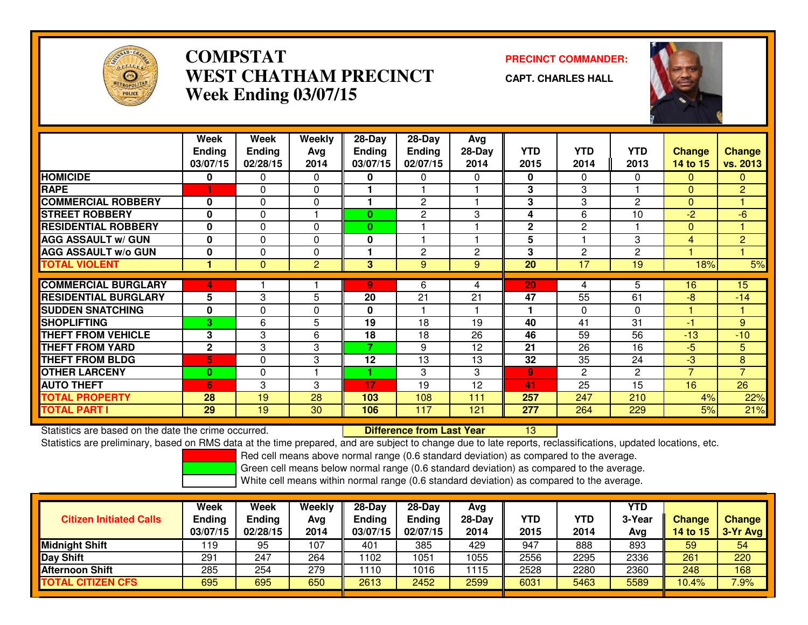

### **COMPSTAT PRECINCT COMMANDER: WEST CHATHAM PRECINCTWeek Ending 03/07/15**

**CAPT. CHARLES HALL**



|                             | Week<br><b>Ending</b><br>03/07/15 | Week<br><b>Ending</b><br>02/28/15 | Weekly<br>Ava<br>2014 | $28-Day$<br><b>Ending</b><br>03/07/15 | $28-Day$<br>Ending<br>02/07/15 | Avg<br>$28-Day$<br>2014 | <b>YTD</b><br>2015 | <b>YTD</b><br>2014 | <b>YTD</b><br>2013 | <b>Change</b><br>14 to 15 | <b>Change</b><br><b>vs. 2013</b> |
|-----------------------------|-----------------------------------|-----------------------------------|-----------------------|---------------------------------------|--------------------------------|-------------------------|--------------------|--------------------|--------------------|---------------------------|----------------------------------|
| <b>HOMICIDE</b>             | 0                                 | 0                                 | 0                     | 0                                     | 0                              | $\Omega$                | 0                  | 0                  | 0                  | 0                         | $\mathbf{0}$                     |
| <b>RAPE</b>                 |                                   | 0                                 | $\Omega$              |                                       |                                |                         | 3                  | 3                  |                    | $\Omega$                  | $\overline{2}$                   |
| <b>COMMERCIAL ROBBERY</b>   | 0                                 | 0                                 | $\Omega$              |                                       | 2                              |                         | 3                  | 3                  | $\mathbf{2}$       | $\mathbf{0}$              |                                  |
| <b>STREET ROBBERY</b>       | 0                                 | $\Omega$                          |                       | $\bf{0}$                              | 2                              | 3                       | 4                  | 6                  | 10                 | $-2$                      | -6                               |
| <b>RESIDENTIAL ROBBERY</b>  | 0                                 | 0                                 | $\Omega$              | $\bf{0}$                              |                                |                         | $\mathbf{2}$       | $\overline{c}$     |                    | $\Omega$                  |                                  |
| <b>AGG ASSAULT w/ GUN</b>   | 0                                 | 0                                 | 0                     | 0                                     |                                |                         | 5                  |                    | 3                  | 4                         | $\overline{2}$                   |
| <b>AGG ASSAULT w/o GUN</b>  | 0                                 | 0                                 | 0                     |                                       | 2                              | $\overline{2}$          | 3                  | 2                  | $\overline{2}$     |                           |                                  |
| <b>TOTAL VIOLENT</b>        | 4                                 | $\mathbf{0}$                      | $\mathbf{2}$          | 3 <sup>1</sup>                        | 9                              | $9\,$                   | 20                 | 17                 | 19                 | 18%                       | 5%                               |
|                             |                                   |                                   |                       |                                       |                                |                         |                    |                    |                    |                           |                                  |
| <b>COMMERCIAL BURGLARY</b>  | 4                                 |                                   |                       | 9                                     | 6                              | 4                       | 20                 | 4                  | 5                  | 16                        | 15                               |
| <b>RESIDENTIAL BURGLARY</b> | 5                                 | 3                                 | 5                     | 20                                    | 21                             | 21                      | 47                 | 55                 | 61                 | -8                        | $-14$                            |
| <b>SUDDEN SNATCHING</b>     | 0                                 | 0                                 | 0                     | 0                                     |                                |                         |                    | $\Omega$           | $\Omega$           |                           |                                  |
| <b>SHOPLIFTING</b>          | 3.                                | 6                                 | 5.                    | 19                                    | 18                             | 19                      | 40                 | 41                 | 31                 | $-1$                      | 9                                |
| <b>THEFT FROM VEHICLE</b>   | 3                                 | 3                                 | 6                     | 18                                    | 18                             | 26                      | 46                 | 59                 | 56                 | $-13$                     | $-10$                            |
| <b>THEFT FROM YARD</b>      | $\mathbf 2$                       | 3                                 | 3                     | 7                                     | 9                              | 12                      | 21                 | 26                 | 16                 | $-5$                      | 5                                |
| <b>THEFT FROM BLDG</b>      | 5                                 | 0                                 | 3                     | 12                                    | $1\overline{3}$                | 13                      | 32                 | 35                 | 24                 | -3                        | 8                                |
| <b>OTHER LARCENY</b>        | 0                                 | 0                                 |                       | 1                                     | 3                              | 3                       | 9                  | 2                  | $\overline{2}$     | $\overline{7}$            | $\overline{7}$                   |
| <b>AUTO THEFT</b>           | 6                                 | 3                                 | 3                     | 17                                    | 19                             | 12                      | 41                 | 25                 | 15                 | 16                        | 26                               |
| <b>TOTAL PROPERTY</b>       | 28                                | 19                                | 28                    | 103                                   | 108                            | 111                     | 257                | 247                | 210                | 4%                        | 22%                              |
| <b>TOTAL PART I</b>         | 29                                | 19                                | 30                    | 106                                   | 117                            | 121                     | 277                | 264                | 229                | 5%                        | 21%                              |

Statistics are based on the date the crime occurred. **Difference from Last Year** 

Statistics are based on the date the crime occurred. The time prepared, and are subject to change due to late reports, reclassifications, updated locations, etc.<br>Statistics are preliminary, based on RMS data at the time pr

Red cell means above normal range (0.6 standard deviation) as compared to the average.

Green cell means below normal range (0.6 standard deviation) as compared to the average.

| <b>Ending</b> | Ending<br>02/28/15            | Avg<br>2014 | <b>Ending</b><br>03/07/15 | <b>Ending</b><br>02/07/15 | Avg<br>$28-Day$<br>2014 | YTD<br>2015 | YTD<br>2014 | 3-Year<br>Avg | <b>Change</b><br><b>14 to 15</b> | <b>Change</b><br>$3-Yr$ Avg |
|---------------|-------------------------------|-------------|---------------------------|---------------------------|-------------------------|-------------|-------------|---------------|----------------------------------|-----------------------------|
|               | 95                            | 107         | 401                       | 385                       | 429                     | 947         | 888         | 893           | 59                               | 54                          |
|               | 247                           | 264         | 1102                      | 051                       | 1055                    | 2556        | 2295        | 2336          | 261                              | 220                         |
|               | 254                           | 279         | 1110                      | 016                       | 1115                    | 2528        | 2280        | 2360          | 248                              | 168                         |
|               | 695                           | 650         | 2613                      | 2452                      | 2599                    | 6031        | 5463        | 5589          | 10.4%                            | 7.9%                        |
| 291           | 03/07/15<br>119<br>285<br>695 |             |                           |                           |                         |             |             |               |                                  |                             |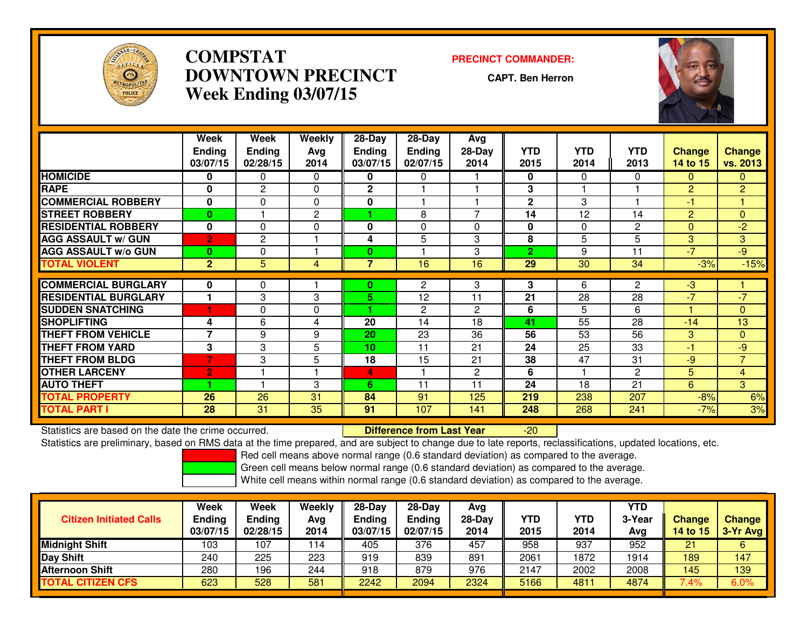

### **COMPSTAT PRECINCT COMMANDER: DOWNTOWN PRECINCTWeek Ending 03/07/15**

**CAPT. Ben Herron**



|                             | Week<br><b>Ending</b><br>03/07/15 | Week<br><b>Ending</b><br>02/28/15 | Weekly<br>Ava<br>2014 | 28-Day<br>Ending<br>03/07/15 | $28$ -Day<br><b>Ending</b><br>02/07/15 | Avg<br>28-Day<br>2014 | <b>YTD</b><br>2015 | <b>YTD</b><br>2014 | <b>YTD</b><br>2013 | <b>Change</b><br>14 to 15 | <b>Change</b><br>vs. 2013 |
|-----------------------------|-----------------------------------|-----------------------------------|-----------------------|------------------------------|----------------------------------------|-----------------------|--------------------|--------------------|--------------------|---------------------------|---------------------------|
| <b>HOMICIDE</b>             | 0                                 | 0                                 | 0                     | $\mathbf 0$                  | $\Omega$                               |                       | 0                  | $\Omega$           | 0                  | 0                         | $\Omega$                  |
| <b>RAPE</b>                 | $\bf{0}$                          | $\overline{c}$                    | $\Omega$              | $\mathbf{2}$                 |                                        |                       | 3                  |                    |                    | $\overline{c}$            | $\overline{2}$            |
| <b>COMMERCIAL ROBBERY</b>   | $\bf{0}$                          | 0                                 | $\Omega$              | $\mathbf 0$                  |                                        |                       | $\mathbf{2}$       | 3                  |                    | -1                        | 1                         |
| <b>STREET ROBBERY</b>       | $\mathbf{0}$                      |                                   | $\mathbf{2}^{\prime}$ |                              | 8                                      | $\overline{7}$        | 14                 | 12                 | 14                 | $\overline{2}$            | $\mathbf{0}$              |
| <b>RESIDENTIAL ROBBERY</b>  | $\bf{0}$                          | 0                                 | $\Omega$              | $\mathbf{0}$                 | $\Omega$                               | $\Omega$              | $\bf{0}$           | $\Omega$           | 2                  | 0                         | $-2$                      |
| <b>AGG ASSAULT w/ GUN</b>   | $\overline{2}$                    | 2                                 |                       | 4                            | 5                                      | 3                     | 8                  | 5                  | 5                  | 3                         | 3                         |
| <b>AGG ASSAULT w/o GUN</b>  | 0                                 | 0                                 |                       | $\bf{0}$                     |                                        | 3                     | $\overline{2}$     | 9                  | 11                 | $-7$                      | $-9$                      |
| <b>TOTAL VIOLENT</b>        | $\overline{2}$                    | 5                                 | 4                     | 7                            | 16                                     | 16                    | 29                 | 30                 | 34                 | $-3%$                     | $-15%$                    |
|                             |                                   |                                   |                       |                              |                                        |                       |                    |                    |                    |                           |                           |
| <b>COMMERCIAL BURGLARY</b>  | 0                                 | 0                                 |                       | 0                            | $\overline{2}$                         | 3                     | 3                  | 6                  | 2                  | $-3$                      |                           |
| <b>RESIDENTIAL BURGLARY</b> |                                   | 3                                 | 3                     | 5.                           | 12                                     | 11                    | 21                 | 28                 | 28                 | $-7$                      | $-7$                      |
| <b>SUDDEN SNATCHING</b>     |                                   | 0                                 | 0                     | 4.                           | 2                                      | 2                     | 6                  | 5                  | 6                  |                           | $\mathbf{0}$              |
| <b>SHOPLIFTING</b>          | 4                                 | 6                                 | 4                     | 20                           | 14                                     | 18                    | 41                 | 55                 | 28                 | $-14$                     | 13                        |
| <b>THEFT FROM VEHICLE</b>   | ⇁                                 | 9                                 | 9                     | 20                           | 23                                     | 36                    | 56                 | 53                 | 56                 | 3                         | $\mathbf{0}$              |
| <b>THEFT FROM YARD</b>      | 3                                 | 3                                 | 5                     | 10                           | 11                                     | 21                    | 24                 | 25                 | 33                 | $-1$                      | $-9$                      |
| <b>THEFT FROM BLDG</b>      | 7                                 | 3                                 | 5                     | 18                           | 15                                     | 21                    | 38                 | 47                 | 31                 | $-9$                      | $\overline{7}$            |
| <b>OTHER LARCENY</b>        | $\mathbf{2}$                      |                                   |                       | 4                            |                                        | $\mathbf{2}$          | 6                  |                    | $\overline{c}$     | 5                         | $\overline{4}$            |
| <b>AUTO THEFT</b>           |                                   |                                   | 3                     | 6                            | 11                                     | 11                    | 24                 | 18                 | 21                 | 6                         | 3                         |
| TOTAL PROPERTY              | 26                                | 26                                | 31                    | 84                           | 91                                     | 125                   | 219                | 238                | 207                | $-8%$                     | 6%                        |
| <b>TOTAL PART I</b>         | 28                                | 31                                | 35                    | 91                           | 107                                    | 141                   | 248                | 268                | 241                | $-7%$                     | 3%                        |

Statistics are based on the date the crime occurred. **Difference from Last Year** 

Statistics are based on the date the crime occurred.<br>Statistics are preliminary, based on RMS data at the time prepared, and are subject to change due to late reports, reclassifications, updated locations, etc.

Red cell means above normal range (0.6 standard deviation) as compared to the average.

Green cell means below normal range (0.6 standard deviation) as compared to the average.

| <b>Citizen Initiated Calls</b> | Week<br><b>Ending</b><br>03/07/15 | <b>Week</b><br>Ending<br>02/28/15 | Weekly<br>Avg<br>2014 | $28-Dav$<br><b>Ending</b><br>03/07/15 | $28-Dav$<br>Endina<br>02/07/15 | Avg<br>$28-Day$<br>2014 | <b>YTD</b><br>2015 | YTD<br>2014 | YTD<br>3-Year<br>Avg | <b>Change</b><br><b>14 to 15</b> | <b>Change</b><br>3-Yr Avg |
|--------------------------------|-----------------------------------|-----------------------------------|-----------------------|---------------------------------------|--------------------------------|-------------------------|--------------------|-------------|----------------------|----------------------------------|---------------------------|
| <b>Midnight Shift</b>          | 103                               | ١07                               | 114                   | 405                                   | 376                            | 457                     | 958                | 937         | 952                  | 21                               | 6                         |
| <b>Day Shift</b>               | 240                               | 225                               | 223                   | 919                                   | 839                            | 891                     | 2061               | 1872        | 1914                 | 189                              | 147                       |
| <b>Afternoon Shift</b>         | 280                               | 196                               | 244                   | 918                                   | 879                            | 976                     | 2147               | 2002        | 2008                 | 145                              | 139                       |
| <b>TOTAL CITIZEN CFS</b>       | 623                               | 528                               | 581                   | 2242                                  | 2094                           | 2324                    | 5166               | 4811        | 4874                 | $7.4\%$                          | 6.0%                      |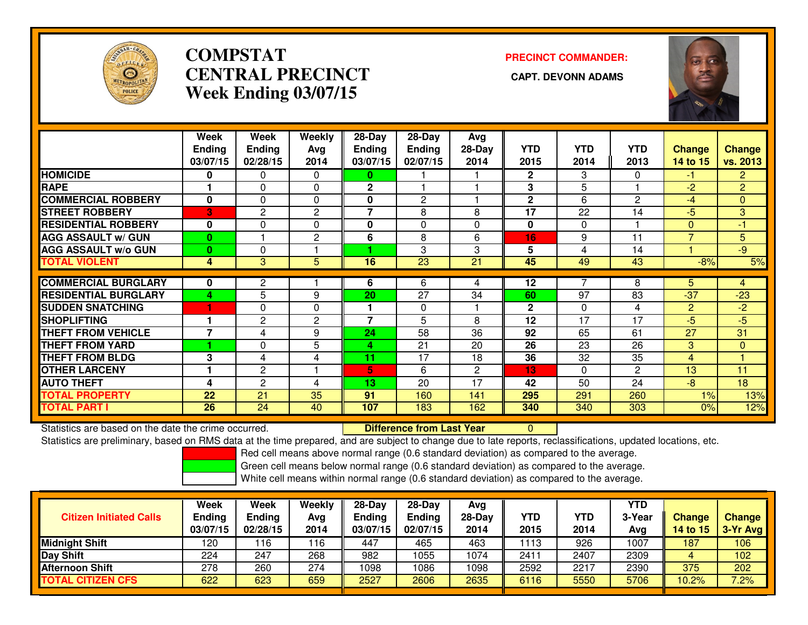

## **COMPSTATCENTRAL PRECINCT Week Ending 03/07/15**

# **PRECINCT COMMANDER:**



|                             | Week          | Week          | Weekly         | 28-Day         | 28-Day         | Avg      |              |                 |                |                |                |
|-----------------------------|---------------|---------------|----------------|----------------|----------------|----------|--------------|-----------------|----------------|----------------|----------------|
|                             | <b>Ending</b> | <b>Ending</b> | Avg            | <b>Ending</b>  | <b>Ending</b>  | $28-Day$ | <b>YTD</b>   | <b>YTD</b>      | <b>YTD</b>     | <b>Change</b>  | <b>Change</b>  |
|                             | 03/07/15      | 02/28/15      | 2014           | 03/07/15       | 02/07/15       | 2014     | 2015         | 2014            | 2013           | 14 to 15       | vs. 2013       |
| <b>HOMICIDE</b>             | $\bf{0}$      | 0             | $\mathbf{0}$   | 0              |                |          | $\mathbf{2}$ | 3               | 0              | -1             | $\overline{2}$ |
| <b>RAPE</b>                 |               | $\Omega$      | 0              | $\mathbf 2$    |                |          | 3            | 5               |                | $-2$           | $\overline{2}$ |
| <b>COMMERCIAL ROBBERY</b>   | $\mathbf{0}$  | $\Omega$      | $\Omega$       | 0              | $\overline{2}$ |          | $\mathbf{2}$ | 6               | 2              | $-4$           | $\mathbf{0}$   |
| <b>STREET ROBBERY</b>       | 3             | 2             | $\mathbf{2}$   | $\overline{7}$ | 8              | 8        | 17           | 22              | 14             | $-5$           | 3              |
| <b>RESIDENTIAL ROBBERY</b>  | $\bf{0}$      | 0             | $\Omega$       | 0              | $\Omega$       | 0        | 0            | $\Omega$        |                | $\Omega$       | $-1$           |
| <b>AGG ASSAULT w/ GUN</b>   | $\mathbf{0}$  |               | $\overline{2}$ | 6              | 8              | 6        | 16           | 9               | 11             | $\overline{7}$ | 5              |
| <b>AGG ASSAULT w/o GUN</b>  | $\bf{0}$      | 0             |                |                | 3              | 3        | 5            | 4               | 14             |                | $-9$           |
| <b>TOTAL VIOLENT</b>        | 4             | 3             | 5              | 16             | 23             | 21       | 45           | 49              | 43             | $-8%$          | 5%             |
|                             |               |               |                |                |                |          |              |                 |                |                |                |
| <b>COMMERCIAL BURGLARY</b>  | 0             | 2             |                | 6              | 6              | 4        | 12           |                 | 8              | 5.             | 4              |
| <b>RESIDENTIAL BURGLARY</b> | 4             | 5             | 9              | 20             | 27             | 34       | 60           | 97              | 83             | $-37$          | $-23$          |
| <b>SUDDEN SNATCHING</b>     |               | 0             | $\Omega$       |                | $\mathbf 0$    |          | $\mathbf{2}$ | $\Omega$        | 4              | $\overline{2}$ | $-2$           |
| <b>SHOPLIFTING</b>          |               | 2             | $\mathbf{2}$   | 7              | 5              | 8        | 12           | 17              | 17             | $-5$           | $-5$           |
| <b>THEFT FROM VEHICLE</b>   | 7             | 4             | 9              | 24             | 58             | 36       | 92           | 65              | 61             | 27             | 31             |
| <b>THEFT FROM YARD</b>      |               | $\Omega$      | 5              | 4              | 21             | 20       | 26           | 23              | 26             | 3              | $\overline{0}$ |
| <b>THEFT FROM BLDG</b>      | 3             | 4             | 4              | 11             | 17             | 18       | 36           | $3\overline{2}$ | 35             | 4              |                |
| <b>OTHER LARCENY</b>        |               | $\mathbf{2}$  |                | 5.             | 6              | 2        | 13           | $\Omega$        | $\overline{c}$ | 13             | 11             |
| <b>AUTO THEFT</b>           | 4             | 2             | 4              | 13             | 20             | 17       | 42           | 50              | 24             | $-8$           | 18             |
| <b>TOTAL PROPERTY</b>       | 22            | 21            | 35             | 91             | 160            | 141      | 295          | 291             | 260            | 1%             | 13%            |
| <b>TOTAL PART I</b>         | 26            | 24            | 40             | 107            | 183            | 162      | 340          | 340             | 303            | 0%             | 12%            |

Statistics are based on the date the crime occurred. **Difference from Last Year** 

Statistics are based on the date the crime occurred. **Difference from Last Year Net archivity on** the dated ocations, etc.<br>Statistics are preliminary, based on RMS data at the time prepared, and are subject to change due t

Red cell means above normal range (0.6 standard deviation) as compared to the average.

Green cell means below normal range (0.6 standard deviation) as compared to the average.

| <b>Citizen Initiated Calls</b> | Week<br>Ending<br>03/07/15 | Week<br>Ending<br>02/28/15 | Weekly<br>Avg<br>2014 | 28-Day<br>Ending<br>03/07/15 | $28-Dav$<br><b>Ending</b><br>02/07/15 | Ava<br>$28-Dav$<br>2014 | YTD<br>2015 | <b>YTD</b><br>2014 | <b>YTD</b><br>3-Year<br>Avg | <b>Change</b><br>14 to 15 | <b>Change</b><br>$3-Yr$ Avg |
|--------------------------------|----------------------------|----------------------------|-----------------------|------------------------------|---------------------------------------|-------------------------|-------------|--------------------|-----------------------------|---------------------------|-----------------------------|
| Midnight Shift                 | 120                        | 16                         | 116                   | 447                          | 465                                   | 463                     | 113         | 926                | 1007                        | 187                       | 106                         |
| Day Shift                      | 224                        | 247                        | 268                   | 982                          | 1055                                  | 1074                    | 2411        | 2407               | 2309                        |                           | 102                         |
| Afternoon Shift                | 278                        | 260                        | 274                   | 1098                         | 1086                                  | 1098                    | 2592        | 2217               | 2390                        | 375                       | 202                         |
| <b>TOTAL CITIZEN CFS</b>       | 622                        | 623                        | 659                   | 2527                         | 2606                                  | 2635                    | 6116        | 5550               | 5706                        | 10.2%                     | 7.2%                        |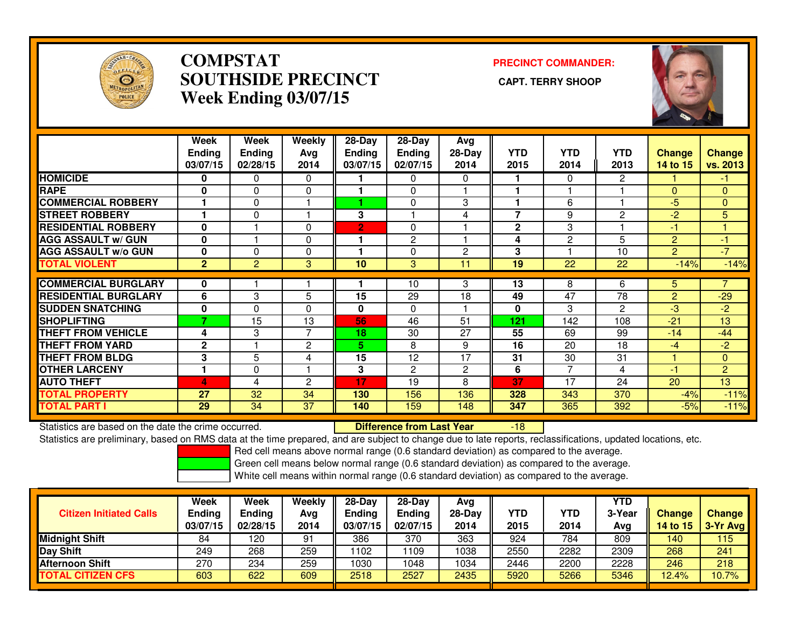

### **COMPSTAT PRECINCT COMMANDER: SOUTHSIDE PRECINCT CAPT. TERRY SHOOPWeek Ending 03/07/15**



|                             | Week<br>Ending<br>03/07/15 | <b>Week</b><br><b>Ending</b><br>02/28/15 | Weekly<br>Avg<br>2014 | $28 - Day$<br><b>Ending</b><br>03/07/15 | $28 - Day$<br><b>Ending</b><br>02/07/15 | Avg<br>28-Day<br>2014 | <b>YTD</b><br>2015   | <b>YTD</b><br>2014 | <b>YTD</b><br>2013 | <b>Change</b><br>14 to 15 | <b>Change</b><br>vs. 2013 |
|-----------------------------|----------------------------|------------------------------------------|-----------------------|-----------------------------------------|-----------------------------------------|-----------------------|----------------------|--------------------|--------------------|---------------------------|---------------------------|
| <b>HOMICIDE</b>             | 0                          | $\Omega$                                 | 0                     |                                         | $\Omega$                                | 0                     | 1.                   | 0                  | 2                  |                           | -1                        |
| <b>RAPE</b>                 | $\bf{0}$                   | $\Omega$                                 | $\mathbf{0}$          |                                         | $\mathbf{0}$                            |                       | 1                    |                    |                    | $\Omega$                  | $\mathbf{0}$              |
| <b>COMMERCIAL ROBBERY</b>   |                            | $\Omega$                                 |                       |                                         | $\Omega$                                | 3                     | $\blacktriangleleft$ | 6                  |                    | $-5$                      | $\Omega$                  |
| <b>STREET ROBBERY</b>       |                            | 0                                        |                       | 3                                       |                                         | 4                     | $\overline{7}$       | 9                  | $\overline{c}$     | $-2$                      | 5                         |
| <b>RESIDENTIAL ROBBERY</b>  | $\bf{0}$                   |                                          | $\mathbf{0}$          | $\overline{2}$                          | 0                                       |                       | $\overline{2}$       | 3                  |                    | -1                        |                           |
| <b>AGG ASSAULT w/ GUN</b>   | $\bf{0}$                   |                                          | $\mathbf{0}$          |                                         | $\overline{2}$                          |                       | 4                    | 2                  | 5                  | $\overline{2}$            | -1                        |
| <b>AGG ASSAULT w/o GUN</b>  | 0                          | $\Omega$                                 | $\mathbf{0}$          |                                         | 0                                       | $\overline{2}$        | 3                    |                    | 10                 | $\overline{2}$            | $-7$                      |
| <b>TOTAL VIOLENT</b>        | $\overline{2}$             | $\overline{2}$                           | 3                     | 10                                      | 3                                       | 11                    | 19                   | 22                 | 22                 | $-14%$                    | $-14%$                    |
|                             |                            |                                          |                       |                                         |                                         |                       |                      |                    |                    |                           |                           |
| <b>COMMERCIAL BURGLARY</b>  | 0                          |                                          |                       |                                         | 10                                      | 3                     | 13                   | 8                  | 6                  | 5.                        |                           |
| <b>RESIDENTIAL BURGLARY</b> | 6                          | 3                                        | 5                     | 15                                      | 29                                      | 18                    | 49                   | 47                 | 78                 | 2                         | $-29$                     |
| <b>SUDDEN SNATCHING</b>     | $\bf{0}$                   | $\Omega$                                 | $\Omega$              | $\bf{0}$                                | $\Omega$                                |                       | 0                    | 3                  | $\overline{2}$     | $-3$                      | $-2$                      |
| <b>SHOPLIFTING</b>          | 7                          | 15                                       | 13                    | 56                                      | 46                                      | 51                    | 121                  | 142                | 108                | $-21$                     | 13                        |
| <b>THEFT FROM VEHICLE</b>   | 4                          | 3                                        | 7                     | 18                                      | 30                                      | 27                    | 55                   | 69                 | 99                 | $-14$                     | $-44$                     |
| <b>THEFT FROM YARD</b>      | $\mathbf{2}$               |                                          | 2                     | 5.                                      | 8                                       | 9                     | 16                   | 20                 | 18                 | $-4$                      | $-2$                      |
| <b>THEFT FROM BLDG</b>      | 3                          | 5                                        | 4                     | 15                                      | 12                                      | 17                    | 31                   | 30                 | 31                 |                           | $\mathbf{0}$              |
| <b>OTHER LARCENY</b>        | 1                          | 0                                        |                       | 3                                       | $\overline{2}$                          | $\overline{2}$        | 6                    | 7                  | 4                  | -1                        | $\overline{2}$            |
| <b>AUTO THEFT</b>           | 4                          | 4                                        | $\overline{2}$        | 17                                      | 19                                      | 8                     | 37                   | 17                 | 24                 | 20                        | 13                        |
| <b>TOTAL PROPERTY</b>       | 27                         | 32                                       | 34                    | 130                                     | 156                                     | 136                   | 328                  | 343                | 370                | $-4%$                     | $-11%$                    |
| <b>TOTAL PART I</b>         | 29                         | 34                                       | 37                    | 140                                     | 159                                     | 148                   | 347                  | 365                | 392                | $-5%$                     | $-11%$                    |

Statistics are based on the date the crime occurred. **Difference from Last Year** 

Statistics are based on the date the crime occurred. **Externee the Difference from Last Year The Constant Pased C**<br>Statistics are preliminary, based on RMS data at the time prepared, and are subject to change due to late r

Red cell means above normal range (0.6 standard deviation) as compared to the average.

Green cell means below normal range (0.6 standard deviation) as compared to the average.

| <b>Citizen Initiated Calls</b> | Week<br><b>Ending</b><br>03/07/15 | <b>Week</b><br>Ending<br>02/28/15 | Weekly<br>Avg<br>2014 | $28-Day$<br>Ending<br>03/07/15 | $28-Dav$<br><b>Ending</b><br>02/07/15 | Ava<br>$28-Day$<br>2014 | YTD<br>2015 | YTD<br>2014 | YTD<br>3-Year<br>Avg | <b>Change</b><br>14 to 15 | <b>Change</b><br>3-Yr Avg |
|--------------------------------|-----------------------------------|-----------------------------------|-----------------------|--------------------------------|---------------------------------------|-------------------------|-------------|-------------|----------------------|---------------------------|---------------------------|
| <b>Midnight Shift</b>          | 84                                | 120                               | 91                    | 386                            | 370                                   | 363                     | 924         | 784         | 809                  | 140                       | 115                       |
| Day Shift                      | 249                               | 268                               | 259                   | 1102                           | '109                                  | 1038                    | 2550        | 2282        | 2309                 | 268                       | 241                       |
| <b>Afternoon Shift</b>         | 270                               | 234                               | 259                   | 1030                           | 1048                                  | 1034                    | 2446        | 2200        | 2228                 | 246                       | 218                       |
| <b>TOTAL CITIZEN CFS</b>       | 603                               | 622                               | 609                   | 2518                           | 2527                                  | 2435                    | 5920        | 5266        | 5346                 | 12.4%                     | 10.7%                     |